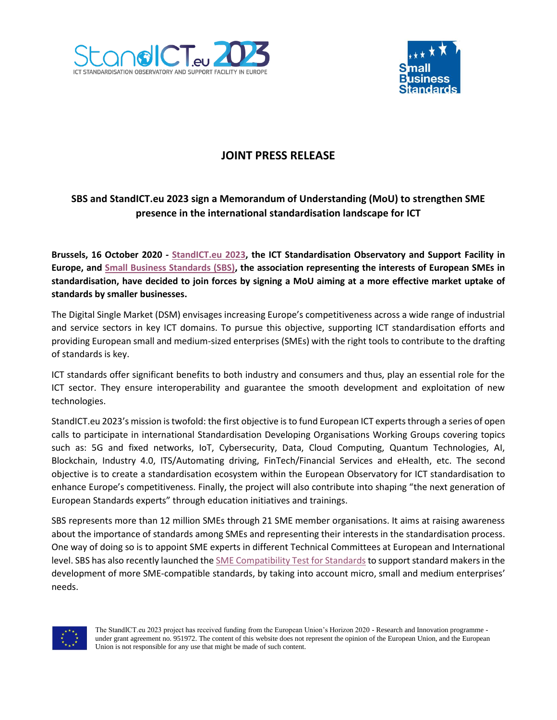



# **JOINT PRESS RELEASE**

## **SBS and StandICT.eu 2023 sign a Memorandum of Understanding (MoU) to strengthen SME presence in the international standardisation landscape for ICT**

**Brussels, 16 October 2020 - [StandICT.eu 2023,](https://www.standict.eu/) the ICT Standardisation Observatory and Support Facility in Europe, and [Small Business Standards \(SBS\),](https://www.sbs-sme.eu/) the association representing the interests of European SMEs in standardisation, have decided to join forces by signing a MoU aiming at a more effective market uptake of standards by smaller businesses.**

The Digital Single Market (DSM) envisages increasing Europe's competitiveness across a wide range of industrial and service sectors in key ICT domains. To pursue this objective, supporting ICT standardisation efforts and providing European small and medium-sized enterprises (SMEs) with the right tools to contribute to the drafting of standards is key.

ICT standards offer significant benefits to both industry and consumers and thus, play an essential role for the ICT sector. They ensure interoperability and guarantee the smooth development and exploitation of new technologies.

StandICT.eu 2023's mission is twofold: the first objective isto fund European ICT experts through a series of open calls to participate in international Standardisation Developing Organisations Working Groups covering topics such as: 5G and fixed networks, IoT, Cybersecurity, Data, Cloud Computing, Quantum Technologies, AI, Blockchain, Industry 4.0, ITS/Automating driving, FinTech/Financial Services and eHealth, etc. The second objective is to create a standardisation ecosystem within the European Observatory for ICT standardisation to enhance Europe's competitiveness. Finally, the project will also contribute into shaping "the next generation of European Standards experts" through education initiatives and trainings.

SBS represents more than 12 million SMEs through 21 SME member organisations. It aims at raising awareness about the importance of standards among SMEs and representing their interests in the standardisation process. One way of doing so is to appoint SME experts in different Technical Committees at European and International level. SBS has also recently launched the [SME Compatibility Test for Standards](https://www.sbs-sme.eu/sme-compatibility-test-standards) to support standard makers in the development of more SME-compatible standards, by taking into account micro, small and medium enterprises' needs.